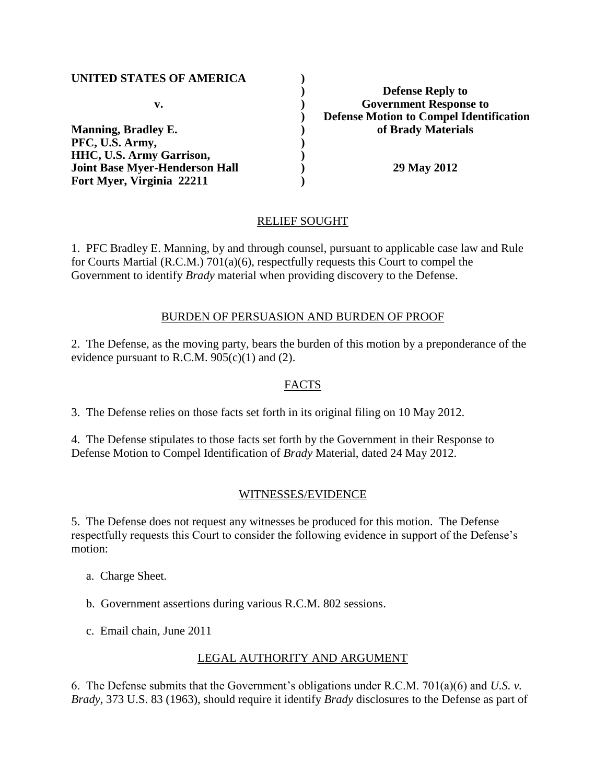| <b>UNITED STATES OF AMERICA</b>       |                                                |
|---------------------------------------|------------------------------------------------|
|                                       | <b>Defense Reply to</b>                        |
| v.                                    | <b>Government Response to</b>                  |
|                                       | <b>Defense Motion to Compel Identification</b> |
| <b>Manning, Bradley E.</b>            | of Brady Materials                             |
| PFC, U.S. Army,                       |                                                |
| <b>HHC, U.S. Army Garrison,</b>       |                                                |
| <b>Joint Base Myer-Henderson Hall</b> | 29 May 2012                                    |
| Fort Myer, Virginia 22211             |                                                |

## RELIEF SOUGHT

1. PFC Bradley E. Manning, by and through counsel, pursuant to applicable case law and Rule for Courts Martial (R.C.M.) 701(a)(6), respectfully requests this Court to compel the Government to identify *Brady* material when providing discovery to the Defense.

#### BURDEN OF PERSUASION AND BURDEN OF PROOF

2. The Defense, as the moving party, bears the burden of this motion by a preponderance of the evidence pursuant to R.C.M.  $905(c)(1)$  and (2).

## FACTS

3. The Defense relies on those facts set forth in its original filing on 10 May 2012.

4. The Defense stipulates to those facts set forth by the Government in their Response to Defense Motion to Compel Identification of *Brady* Material, dated 24 May 2012.

#### WITNESSES/EVIDENCE

5. The Defense does not request any witnesses be produced for this motion. The Defense respectfully requests this Court to consider the following evidence in support of the Defense's motion:

- a. Charge Sheet.
- b. Government assertions during various R.C.M. 802 sessions.
- c. Email chain, June 2011

## LEGAL AUTHORITY AND ARGUMENT

6. The Defense submits that the Government's obligations under R.C.M. 701(a)(6) and *U.S. v. Brady*, 373 U.S. 83 (1963), should require it identify *Brady* disclosures to the Defense as part of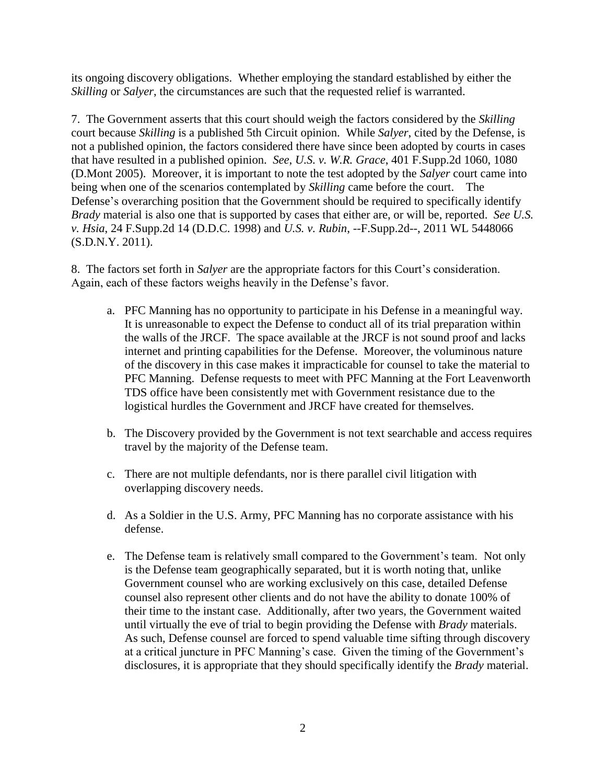its ongoing discovery obligations. Whether employing the standard established by either the *Skilling* or *Salyer*, the circumstances are such that the requested relief is warranted.

7. The Government asserts that this court should weigh the factors considered by the *Skilling* court because *Skilling* is a published 5th Circuit opinion. While *Salyer*, cited by the Defense, is not a published opinion, the factors considered there have since been adopted by courts in cases that have resulted in a published opinion. *See*, *U.S. v. W.R. Grace*, 401 F.Supp.2d 1060, 1080 (D.Mont 2005). Moreover, it is important to note the test adopted by the *Salyer* court came into being when one of the scenarios contemplated by *Skilling* came before the court. The Defense's overarching position that the Government should be required to specifically identify *Brady* material is also one that is supported by cases that either are, or will be, reported. *See U.S. v. Hsia*, 24 F.Supp.2d 14 (D.D.C. 1998) and *U.S. v. Rubin*, --F.Supp.2d--, 2011 WL 5448066 (S.D.N.Y. 2011).

8. The factors set forth in *Salyer* are the appropriate factors for this Court's consideration. Again, each of these factors weighs heavily in the Defense's favor.

- a. PFC Manning has no opportunity to participate in his Defense in a meaningful way. It is unreasonable to expect the Defense to conduct all of its trial preparation within the walls of the JRCF. The space available at the JRCF is not sound proof and lacks internet and printing capabilities for the Defense. Moreover, the voluminous nature of the discovery in this case makes it impracticable for counsel to take the material to PFC Manning. Defense requests to meet with PFC Manning at the Fort Leavenworth TDS office have been consistently met with Government resistance due to the logistical hurdles the Government and JRCF have created for themselves.
- b. The Discovery provided by the Government is not text searchable and access requires travel by the majority of the Defense team.
- c. There are not multiple defendants, nor is there parallel civil litigation with overlapping discovery needs.
- d. As a Soldier in the U.S. Army, PFC Manning has no corporate assistance with his defense.
- e. The Defense team is relatively small compared to the Government's team. Not only is the Defense team geographically separated, but it is worth noting that, unlike Government counsel who are working exclusively on this case, detailed Defense counsel also represent other clients and do not have the ability to donate 100% of their time to the instant case. Additionally, after two years, the Government waited until virtually the eve of trial to begin providing the Defense with *Brady* materials. As such, Defense counsel are forced to spend valuable time sifting through discovery at a critical juncture in PFC Manning's case. Given the timing of the Government's disclosures, it is appropriate that they should specifically identify the *Brady* material.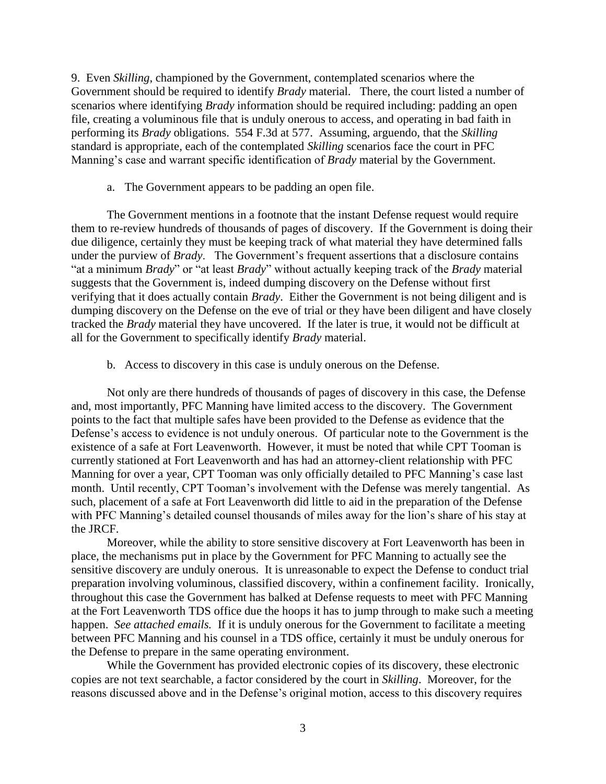9. Even *Skilling*, championed by the Government, contemplated scenarios where the Government should be required to identify *Brady* material. There, the court listed a number of scenarios where identifying *Brady* information should be required including: padding an open file, creating a voluminous file that is unduly onerous to access, and operating in bad faith in performing its *Brady* obligations. 554 F.3d at 577. Assuming, arguendo, that the *Skilling* standard is appropriate, each of the contemplated *Skilling* scenarios face the court in PFC Manning's case and warrant specific identification of *Brady* material by the Government.

a. The Government appears to be padding an open file.

The Government mentions in a footnote that the instant Defense request would require them to re-review hundreds of thousands of pages of discovery. If the Government is doing their due diligence, certainly they must be keeping track of what material they have determined falls under the purview of *Brady*. The Government's frequent assertions that a disclosure contains "at a minimum *Brady*" or "at least *Brady*" without actually keeping track of the *Brady* material suggests that the Government is, indeed dumping discovery on the Defense without first verifying that it does actually contain *Brady*. Either the Government is not being diligent and is dumping discovery on the Defense on the eve of trial or they have been diligent and have closely tracked the *Brady* material they have uncovered. If the later is true, it would not be difficult at all for the Government to specifically identify *Brady* material.

b. Access to discovery in this case is unduly onerous on the Defense.

Not only are there hundreds of thousands of pages of discovery in this case, the Defense and, most importantly, PFC Manning have limited access to the discovery. The Government points to the fact that multiple safes have been provided to the Defense as evidence that the Defense's access to evidence is not unduly onerous. Of particular note to the Government is the existence of a safe at Fort Leavenworth. However, it must be noted that while CPT Tooman is currently stationed at Fort Leavenworth and has had an attorney-client relationship with PFC Manning for over a year, CPT Tooman was only officially detailed to PFC Manning's case last month. Until recently, CPT Tooman's involvement with the Defense was merely tangential. As such, placement of a safe at Fort Leavenworth did little to aid in the preparation of the Defense with PFC Manning's detailed counsel thousands of miles away for the lion's share of his stay at the JRCF.

Moreover, while the ability to store sensitive discovery at Fort Leavenworth has been in place, the mechanisms put in place by the Government for PFC Manning to actually see the sensitive discovery are unduly onerous. It is unreasonable to expect the Defense to conduct trial preparation involving voluminous, classified discovery, within a confinement facility. Ironically, throughout this case the Government has balked at Defense requests to meet with PFC Manning at the Fort Leavenworth TDS office due the hoops it has to jump through to make such a meeting happen. *See attached emails.* If it is unduly onerous for the Government to facilitate a meeting between PFC Manning and his counsel in a TDS office, certainly it must be unduly onerous for the Defense to prepare in the same operating environment.

While the Government has provided electronic copies of its discovery, these electronic copies are not text searchable, a factor considered by the court in *Skilling*. Moreover, for the reasons discussed above and in the Defense's original motion, access to this discovery requires